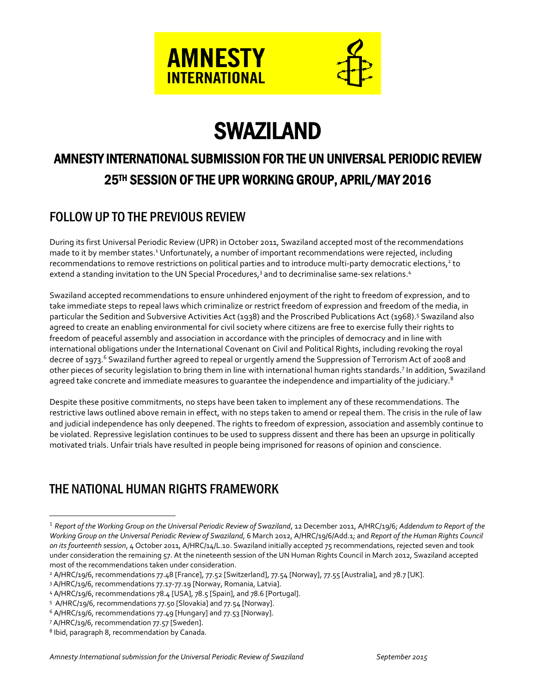

# SWAZILAND

# AMNESTY INTERNATIONAL SUBMISSION FOR THE UN UNIVERSAL PERIODIC REVIEW 25TH SESSION OF THE UPR WORKING GROUP, APRIL/MAY 2016

# FOLLOW UP TO THE PREVIOUS REVIEW

During its first Universal Periodic Review (UPR) in October 2011, Swaziland accepted most of the recommendations made to it by member states.<sup>1</sup> Unfortunately, a number of important recommendations were rejected, including recommendations to remove restrictions on political parties and to introduce multi-party democratic elections,<sup>2</sup> to extend a standing invitation to the UN Special Procedures, <sup>3</sup> and to decriminalise same-sex relations. 4

Swaziland accepted recommendations to ensure unhindered enjoyment of the right to freedom of expression, and to take immediate steps to repeal laws which criminalize or restrict freedom of expression and freedom of the media, in particular the Sedition and Subversive Activities Act (1938) and the Proscribed Publications Act (1968).<sup>5</sup> Swaziland also agreed to create an enabling environmental for civil society where citizens are free to exercise fully their rights to freedom of peaceful assembly and association in accordance with the principles of democracy and in line with international obligations under the International Covenant on Civil and Political Rights, including revoking the royal decree of 1973.<sup>6</sup> Swaziland further agreed to repeal or urgently amend the Suppression of Terrorism Act of 2008 and other pieces of security legislation to bring them in line with international human rights standards.<sup>7</sup> In addition, Swaziland agreed take concrete and immediate measures to quarantee the independence and impartiality of the judiciary.<sup>8</sup>

Despite these positive commitments, no steps have been taken to implement any of these recommendations. The restrictive laws outlined above remain in effect, with no steps taken to amend or repeal them. The crisis in the rule of law and judicial independence has only deepened. The rights to freedom of expression, association and assembly continue to be violated. Repressive legislation continues to be used to suppress dissent and there has been an upsurge in politically motivated trials. Unfair trials have resulted in people being imprisoned for reasons of opinion and conscience.

# THE NATIONAL HUMAN RIGHTS FRAMEWORK

 $\overline{a}$ 

<sup>1</sup> *Report of the Working Group on the Universal Periodic Review of Swaziland*, 12 December 2011, A/HRC/19/6; *Addendum to Report of the Working Group on the Universal Periodic Review of Swaziland*, 6 March 2012, A/HRC/19/6/Add.1; and *Report of the Human Rights Council on its fourteenth session*, 4 October 2011, A/HRC/14/L.10. Swaziland initially accepted 75 recommendations, rejected seven and took under consideration the remaining 57. At the nineteenth session of the UN Human Rights Council in March 2012, Swaziland accepted most of the recommendations taken under consideration.

<sup>2</sup> A/HRC/19/6, recommendations 77.48 [France], 77.52 [Switzerland], 77.54 [Norway], 77.55 [Australia], and 78.7 [UK].

<sup>3</sup> A/HRC/19/6, recommendations 77.17-77.19 [Norway, Romania, Latvia].

<sup>4</sup> A/HRC/19/6, recommendations 78.4 [USA], 78.5 [Spain], and 78.6 [Portugal].

<sup>5</sup> A/HRC/19/6, recommendations 77.50 [Slovakia] and 77.54 [Norway].

<sup>&</sup>lt;sup>6</sup> A/HRC/19/6, recommendations 77.49 [Hungary] and 77.53 [Norway].

<sup>7</sup> A/HRC/19/6, recommendation 77.57 [Sweden].

<sup>8</sup> Ibid, paragraph 8, recommendation by Canada.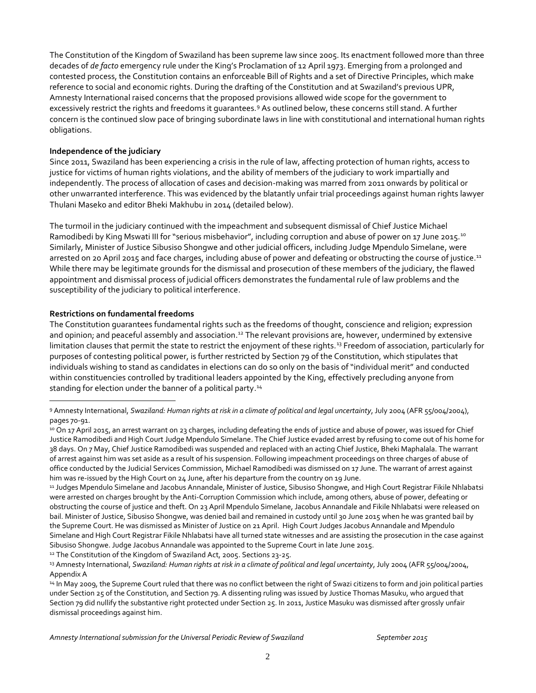The Constitution of the Kingdom of Swaziland has been supreme law since 2005. Its enactment followed more than three decades of *de facto* emergency rule under the King's Proclamation of 12 April 1973. Emerging from a prolonged and contested process, the Constitution contains an enforceable Bill of Rights and a set of Directive Principles, which make reference to social and economic rights. During the drafting of the Constitution and at Swaziland's previous UPR, Amnesty International raised concerns that the proposed provisions allowed wide scope for the government to excessively restrict the rights and freedoms it quarantees.<sup>9</sup> As outlined below, these concerns still stand. A further concern is the continued slow pace of bringing subordinate laws in line with constitutional and international human rights obligations.

#### **Independence of the judiciary**

Since 2011, Swaziland has been experiencing a crisis in the rule of law, affecting protection of human rights, access to justice for victims of human rights violations, and the ability of members of the judiciary to work impartially and independently. The process of allocation of cases and decision-making was marred from 2011 onwards by political or other unwarranted interference. This was evidenced by the blatantly unfair trial proceedings against human rights lawyer Thulani Maseko and editor Bheki Makhubu in 2014 (detailed below).

The turmoil in the judiciary continued with the impeachment and subsequent dismissal of Chief Justice Michael Ramodibedi by King Mswati III for "serious misbehavior", including corruption and abuse of power on 17 June 2015.<sup>10</sup> Similarly, Minister of Justice Sibusiso Shongwe and other judicial officers, including Judge Mpendulo Simelane, were arrested on 20 April 2015 and face charges, including abuse of power and defeating or obstructing the course of justice.<sup>11</sup> While there may be legitimate grounds for the dismissal and prosecution of these members of the judiciary, the flawed appointment and dismissal process of judicial officers demonstrates the fundamental rule of law problems and the susceptibility of the judiciary to political interference.

#### **Restrictions on fundamental freedoms**

 $\overline{a}$ 

The Constitution guarantees fundamental rights such as the freedoms of thought, conscience and religion; expression and opinion; and peaceful assembly and association.<sup>12</sup> The relevant provisions are, however, undermined by extensive limitation clauses that permit the state to restrict the enjoyment of these rights.<sup>13</sup> Freedom of association, particularly for purposes of contesting political power, is further restricted by Section 79 of the Constitution, which stipulates that individuals wishing to stand as candidates in elections can do so only on the basis of "individual merit" and conducted within constituencies controlled by traditional leaders appointed by the King, effectively precluding anyone from standing for election under the banner of a political party.<sup>14</sup>

<sup>12</sup> The Constitution of the Kingdom of Swaziland Act, 2005. Sections 23-25.

<sup>9</sup> Amnesty International, *Swaziland: Human rights at risk in a climate of political and legal uncertainty*, July 2004 (AFR 55/004/2004), pages 70-91.

<sup>&</sup>lt;sup>10</sup> On 17 April 2015, an arrest warrant on 23 charges, including defeating the ends of justice and abuse of power, was issued for Chief Justice Ramodibedi and High Court Judge Mpendulo Simelane. The Chief Justice evaded arrest by refusing to come out of his home for 38 days. On 7 May, Chief Justice Ramodibedi was suspended and replaced with an acting Chief Justice, Bheki Maphalala. The warrant of arrest against him was set aside as a result of his suspension. Following impeachment proceedings on three charges of abuse of office conducted by the Judicial Services Commission, Michael Ramodibedi was dismissed on 17 June. The warrant of arrest against him was re-issued by the High Court on 24 June, after his departure from the country on 19 June.

<sup>11</sup> Judges Mpendulo Simelane and Jacobus Annandale, Minister of Justice, Sibusiso Shongwe, and High Court Registrar Fikile Nhlabatsi were arrested on charges brought by the Anti-Corruption Commission which include, among others, abuse of power, defeating or obstructing the course of justice and theft. On 23 April Mpendulo Simelane, Jacobus Annandale and Fikile Nhlabatsi were released on bail. Minister of Justice, Sibusiso Shongwe, was denied bail and remained in custody until 30 June 2015 when he was granted bail by the Supreme Court. He was dismissed as Minister of Justice on 21 April. High Court Judges Jacobus Annandale and Mpendulo Simelane and High Court Registrar Fikile Nhlabatsi have all turned state witnesses and are assisting the prosecution in the case against Sibusiso Shongwe. Judge Jacobus Annandale was appointed to the Supreme Court in late June 2015.

<sup>13</sup> Amnesty International, *Swaziland: Human rights at risk in a climate of political and legal uncertainty*, July 2004 (AFR 55/004/2004, Appendix A

<sup>14</sup> In May 2009, the Supreme Court ruled that there was no conflict between the right of Swazi citizens to form and join political parties under Section 25 of the Constitution, and Section 79. A dissenting ruling was issued by Justice Thomas Masuku, who argued that Section 79 did nullify the substantive right protected under Section 25. In 2011, Justice Masuku was dismissed after grossly unfair dismissal proceedings against him.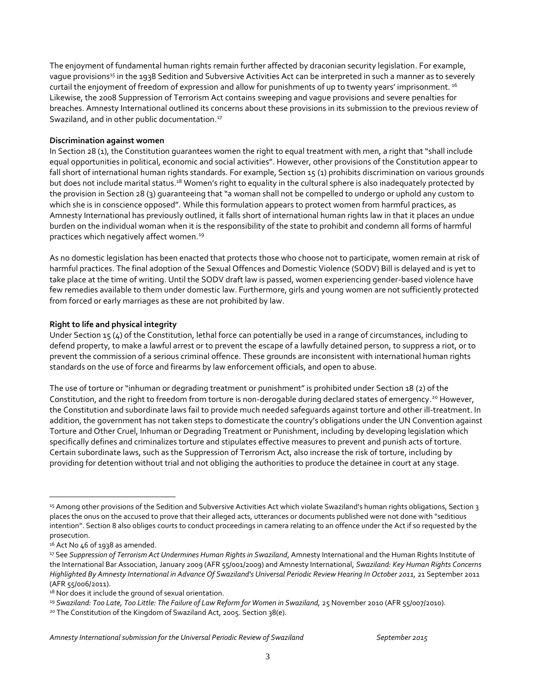The enjoyment of fundamental human rights remain further affected by draconian security legislation. For example, vague provisions<sup>15</sup> in the 1938 Sedition and Subversive Activities Act can be interpreted in such a manner as to severely curtail the enjoyment of freedom of expression and allow for punishments of up to twenty years' imprisonment.<sup>16</sup> Likewise, the 2008 Suppression of Terrorism Act contains sweeping and vague provisions and severe penalties for breaches. Amnesty International outlined its concerns about these provisions in its submission to the previous review of Swaziland, and in other public documentation.<sup>17</sup>

#### **Discrimination against women**

In Section 28 (1), the Constitution guarantees women the right to equal treatment with men, a right that "shall include equal opportunities in political, economic and social activities". However, other provisions of the Constitution appear to fall short of international human rights standards. For example, Section 15 (1) prohibits discrimination on various grounds but does not include marital status.<sup>18</sup> Women's right to equality in the cultural sphere is also inadequately protected by the provision in Section 28 (3) guaranteeing that "a woman shall not be compelled to undergo or uphold any custom to which she is in conscience opposed". While this formulation appears to protect women from harmful practices, as Amnesty International has previously outlined, it falls short of international human rights law in that it places an undue burden on the individual woman when it is the responsibility of the state to prohibit and condemn all forms of harmful practices which negatively affect women.<sup>19</sup>

As no domestic legislation has been enacted that protects those who choose not to participate, women remain at risk of harmful practices. The final adoption of the Sexual Offences and Domestic Violence (SODV) Bill is delayed and is yet to take place at the time of writing. Until the SODV draft law is passed, women experiencing gender-based violence have few remedies available to them under domestic law. Furthermore, girls and young women are not sufficiently protected from forced or early marriages as these are not prohibited by law.

#### **Right to life and physical integrity**

Under Section 15 (4) of the Constitution, lethal force can potentially be used in a range of circumstances, including to defend property, to make a lawful arrest or to prevent the escape of a lawfully detained person, to suppress a riot, or to prevent the commission of a serious criminal offence. These grounds are inconsistent with international human rights standards on the use of force and firearms by law enforcement officials, and open to abuse.

The use of torture or "inhuman or degrading treatment or punishment" is prohibited under Section 18 (2) of the Constitution, and the right to freedom from torture is non-derogable during declared states of emergency.<sup>20</sup> However, the Constitution and subordinate laws fail to provide much needed safeguards against torture and other ill-treatment. In addition, the government has not taken steps to domesticate the country's obligations under the UN Convention against Torture and Other Cruel, Inhuman or Degrading Treatment or Punishment, including by developing legislation which specifically defines and criminalizes torture and stipulates effective measures to prevent and punish acts of torture. Certain subordinate laws, such as the Suppression of Terrorism Act, also increase the risk of torture, including by providing for detention without trial and not obliging the authorities to produce the detainee in court at any stage.

 $\overline{a}$ 

<sup>15</sup> Among other provisions of the Sedition and Subversive Activities Act which violate Swaziland's human rights obligations, Section 3 places the onus on the accused to prove that their alleged acts, utterances or documents published were not done with "seditious intention". Section 8 also obliges courts to conduct proceedings in camera relating to an offence under the Act if so requested by the prosecution.

 $16$  Act No 46 of 1938 as amended.

<sup>17</sup> See *Suppression of Terrorism Act Undermines Human Rights in Swaziland*, Amnesty International and the Human Rights Institute of the International Bar Association, January 2009 (AFR 55/001/2009) and Amnesty International, *Swaziland: Key Human Rights Concerns*  Highlighted By Amnesty International in Advance Of Swaziland's Universal Periodic Review Hearing In October 2011, 21 September 2011 (AFR 55/006/2011).

<sup>&</sup>lt;sup>18</sup> Nor does it include the ground of sexual orientation.

<sup>&</sup>lt;sup>19</sup> Swaziland: Too Late, Too Little: The Failure of Law Reform for Women in Swaziland, 25 November 2010 (AFR 55/007/2010).

<sup>20</sup> The Constitution of the Kingdom of Swaziland Act, 2005. Section 38(e).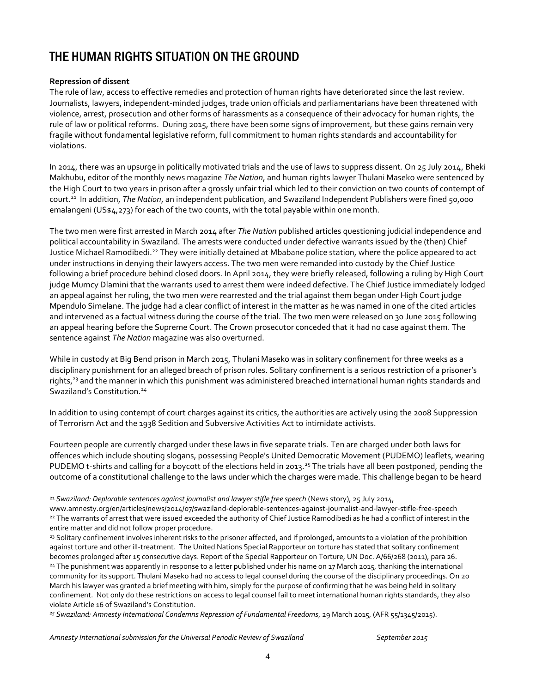## THE HUMAN RIGHTS SITUATION ON THE GROUND

#### **Repression of dissent**

 $\overline{a}$ 

The rule of law, access to effective remedies and protection of human rights have deteriorated since the last review. Journalists, lawyers, independent-minded judges, trade union officials and parliamentarians have been threatened with violence, arrest, prosecution and other forms of harassments as a consequence of their advocacy for human rights, the rule of law or political reforms. During 2015, there have been some signs of improvement, but these gains remain very fragile without fundamental legislative reform, full commitment to human rights standards and accountability for violations.

In 2014, there was an upsurge in politically motivated trials and the use of laws to suppress dissent. On 25 July 2014, Bheki Makhubu, editor of the monthly news magazine *The Nation*, and human rights lawyer Thulani Maseko were sentenced by the High Court to two years in prison after a grossly unfair trial which led to their conviction on two counts of contempt of court. <sup>21</sup> In addition, *The Nation*, an independent publication, and Swaziland Independent Publishers were fined 50,000 emalangeni (US\$4,273) for each of the two counts, with the total payable within one month.

The two men were first arrested in March 2014 after *The Nation* published articles questioning judicial independence and political accountability in Swaziland. The arrests were conducted under defective warrants issued by the (then) Chief Justice Michael Ramodibedi.<sup>22</sup> They were initially detained at Mbabane police station, where the police appeared to act under instructions in denying their lawyers access. The two men were remanded into custody by the Chief Justice following a brief procedure behind closed doors. In April 2014, they were briefly released, following a ruling by High Court judge Mumcy Dlamini that the warrants used to arrest them were indeed defective. The Chief Justice immediately lodged an appeal against her ruling, the two men were rearrested and the trial against them began under High Court judge Mpendulo Simelane. The judge had a clear conflict of interest in the matter as he was named in one of the cited articles and intervened as a factual witness during the course of the trial. The two men were released on 30 June 2015 following an appeal hearing before the Supreme Court. The Crown prosecutor conceded that it had no case against them. The sentence against *The Nation* magazine was also overturned.

While in custody at Big Bend prison in March 2015, Thulani Maseko was in solitary confinement for three weeks as a disciplinary punishment for an alleged breach of prison rules. Solitary confinement is a serious restriction of a prisoner's rights,<sup>23</sup> and the manner in which this punishment was administered breached international human rights standards and Swaziland's Constitution.<sup>24</sup>

In addition to using contempt of court charges against its critics, the authorities are actively using the 2008 Suppression of Terrorism Act and the 1938 Sedition and Subversive Activities Act to intimidate activists.

Fourteen people are currently charged under these laws in five separate trials. Ten are charged under both laws for offences which include shouting slogans, possessing People's United Democratic Movement (PUDEMO) leaflets, wearing PUDEMO t-shirts and calling for a boycott of the elections held in 2013.<sup>25</sup> The trials have all been postponed, pending the outcome of a constitutional challenge to the laws under which the charges were made. This challenge began to be heard

*Amnesty International submission for the Universal Periodic Review of Swaziland September 2015*

<sup>21</sup> *Swaziland: Deplorable sentences against journalist and lawyer stifle free speech* (News story), 25 July 2014,

www.amnesty.org/en/articles/news/2014/07/swaziland-deplorable-sentences-against-journalist-and-lawyer-stifle-free-speech 22 The warrants of arrest that were issued exceeded the authority of Chief Justice Ramodibedi as he had a conflict of interest in the entire matter and did not follow proper procedure.

<sup>&</sup>lt;sup>23</sup> Solitary confinement involves inherent risks to the prisoner affected, and if prolonged, amounts to a violation of the prohibition against torture and other ill-treatment. The United Nations Special Rapporteur on torture has stated that solitary confinement becomes prolonged after 15 consecutive days. Report of the Special Rapporteur on Torture, UN Doc. A/66/268 (2011), para 26. <sup>24</sup> The punishment was apparently in response to a letter published under his name on 17 March 2015, thanking the international community for its support. Thulani Maseko had no access to legal counsel during the course of the disciplinary proceedings. On 20 March his lawyer was granted a brief meeting with him, simply for the purpose of confirming that he was being held in solitary confinement. Not only do these restrictions on access to legal counsel fail to meet international human rights standards, they also violate Article 16 of Swaziland's Constitution.

*<sup>25</sup> Swaziland: Amnesty International Condemns Repression of Fundamental Freedoms*, 29 March 2015, (AFR 55/1345/2015).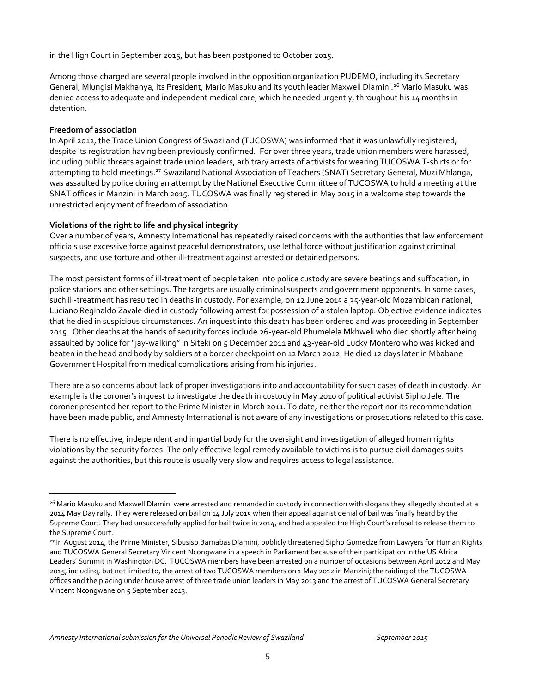in the High Court in September 2015, but has been postponed to October 2015.

Among those charged are several people involved in the opposition organization PUDEMO, including its Secretary General, Mlungisi Makhanya, its President, Mario Masuku and its youth leader Maxwell Dlamini.<sup>26</sup> Mario Masuku was denied access to adequate and independent medical care, which he needed urgently, throughout his 14 months in detention.

#### **Freedom of association**

 $\overline{a}$ 

In April 2012, the Trade Union Congress of Swaziland (TUCOSWA) was informed that it was unlawfully registered, despite its registration having been previously confirmed. For over three years, trade union members were harassed, including public threats against trade union leaders, arbitrary arrests of activists for wearing TUCOSWA T-shirts or for attempting to hold meetings.<sup>27</sup> Swaziland National Association of Teachers (SNAT) Secretary General, Muzi Mhlanga, was assaulted by police during an attempt by the National Executive Committee of TUCOSWA to hold a meeting at the SNAT offices in Manzini in March 2015. TUCOSWA was finally registered in May 2015 in a welcome step towards the unrestricted enjoyment of freedom of association.

#### **Violations of the right to life and physical integrity**

Over a number of years, Amnesty International has repeatedly raised concerns with the authorities that law enforcement officials use excessive force against peaceful demonstrators, use lethal force without justification against criminal suspects, and use torture and other ill-treatment against arrested or detained persons.

The most persistent forms of ill-treatment of people taken into police custody are severe beatings and suffocation, in police stations and other settings. The targets are usually criminal suspects and government opponents. In some cases, such ill-treatment has resulted in deaths in custody. For example, on 12 June 2015 a 35-year-old Mozambican national, Luciano Reginaldo Zavale died in custody following arrest for possession of a stolen laptop. Objective evidence indicates that he died in suspicious circumstances. An inquest into this death has been ordered and was proceeding in September 2015. Other deaths at the hands of security forces include 26-year-old Phumelela Mkhweli who died shortly after being assaulted by police for "jay-walking" in Siteki on 5 December 2011 and 43-year-old Lucky Montero who was kicked and beaten in the head and body by soldiers at a border checkpoint on 12 March 2012. He died 12 days later in Mbabane Government Hospital from medical complications arising from his injuries.

There are also concerns about lack of proper investigations into and accountability for such cases of death in custody. An example is the coroner's inquest to investigate the death in custody in May 2010 of political activist Sipho Jele. The coroner presented her report to the Prime Minister in March 2011. To date, neither the report nor its recommendation have been made public, and Amnesty International is not aware of any investigations or prosecutions related to this case.

There is no effective, independent and impartial body for the oversight and investigation of alleged human rights violations by the security forces. The only effective legal remedy available to victims is to pursue civil damages suits against the authorities, but this route is usually very slow and requires access to legal assistance.

<sup>26</sup> Mario Masuku and Maxwell Dlamini were arrested and remanded in custody in connection with slogans they allegedly shouted at a 2014 May Day rally. They were released on bail on 14 July 2015 when their appeal against denial of bail was finally heard by the Supreme Court. They had unsuccessfully applied for bail twice in 2014, and had appealed the High Court's refusal to release them to the Supreme Court.

<sup>27</sup> In August 2014, the Prime Minister, Sibusiso Barnabas Dlamini, publicly threatened Sipho Gumedze from Lawyers for Human Rights and TUCOSWA General Secretary Vincent Ncongwane in a speech in Parliament because of their participation in the US Africa Leaders' Summit in Washington DC. TUCOSWA members have been arrested on a number of occasions between April 2012 and May 2015, including, but not limited to, the arrest of two TUCOSWA members on 1 May 2012 in Manzini; the raiding of the TUCOSWA offices and the placing under house arrest of three trade union leaders in May 2013 and the arrest of TUCOSWA General Secretary Vincent Ncongwane on 5 September 2013.